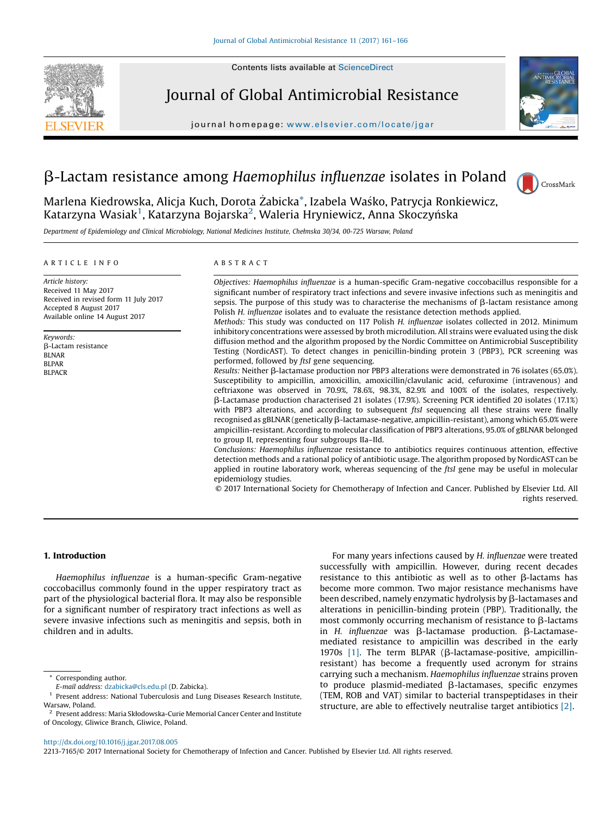

Journal of Global Antimicrobial Resistance

journal homepage: <www.elsevier.com/locate/jgar>range/jgarrange/jgarrange/jgarrange/jgarrange/jgarrange/jgarrange/jgarrange/jgarrange/jgarrange/jgarrange/jgarrange/jgarrange/jgarrange/jgarrange/jgarrange/jgarrange/jgarrange





Marlena Kiedrowska, Alicja Kuch, Dorota Żabicka $^\ast$ , Izabela Waśko, Patrycja Ronkiewicz, Katarzyna Wasiak<sup>1</sup>, Katarzyna Bojarska<sup>2</sup>, Waleria Hryniewicz, Anna Skoczyńska

Department of Epidemiology and Clinical Microbiology, National Medicines Institute, Chełmska 30/34, 00-725 Warsaw, Poland

#### A R T I C L E I N F O

Article history: Received 11 May 2017 Received in revised form 11 July 2017 Accepted 8 August 2017 Available online 14 August 2017

Keywords: b-Lactam resistance BLNAR BLPAR BLPACR

### A B S T R A C T

Objectives: Haemophilus influenzae is a human-specific Gram-negative coccobacillus responsible for a significant number of respiratory tract infections and severe invasive infections such as meningitis and sepsis. The purpose of this study was to characterise the mechanisms of  $\beta$ -lactam resistance among Polish H. influenzae isolates and to evaluate the resistance detection methods applied.

Methods: This study was conducted on 117 Polish H. influenzae isolates collected in 2012. Minimum inhibitory concentrations were assessed by broth microdilution. All strains were evaluated using the disk diffusion method and the algorithm proposed by the Nordic Committee on Antimicrobial Susceptibility Testing (NordicAST). To detect changes in penicillin-binding protein 3 (PBP3), PCR screening was performed, followed by ftsI gene sequencing.

Results: Neither  $\beta$ -lactamase production nor PBP3 alterations were demonstrated in 76 isolates (65.0%). Susceptibility to ampicillin, amoxicillin, amoxicillin/clavulanic acid, cefuroxime (intravenous) and ceftriaxone was observed in 70.9%, 78.6%, 98.3%, 82.9% and 100% of the isolates, respectively. b-Lactamase production characterised 21 isolates (17.9%). Screening PCR identified 20 isolates (17.1%) with PBP3 alterations, and according to subsequent *ftsI* sequencing all these strains were finally recognised as gBLNAR (genetically b-lactamase-negative, ampicillin-resistant), among which 65.0% were ampicillin-resistant. According to molecular classification of PBP3 alterations, 95.0% of gBLNAR belonged to group II, representing four subgroups IIa–IId.

Conclusions: Haemophilus influenzae resistance to antibiotics requires continuous attention, effective detection methods and a rational policy of antibiotic usage. The algorithm proposed by NordicAST can be applied in routine laboratory work, whereas sequencing of the ftsI gene may be useful in molecular epidemiology studies.

© 2017 International Society for Chemotherapy of Infection and Cancer. Published by Elsevier Ltd. All rights reserved.

## 1. Introduction

Haemophilus influenzae is a human-specific Gram-negative coccobacillus commonly found in the upper respiratory tract as part of the physiological bacterial flora. It may also be responsible for a significant number of respiratory tract infections as well as severe invasive infections such as meningitis and sepsis, both in children and in adults.

For many years infections caused by H. influenzae were treated successfully with ampicillin. However, during recent decades resistance to this antibiotic as well as to other  $\beta$ -lactams has become more common. Two major resistance mechanisms have been described, namely enzymatic hydrolysis by  $\beta$ -lactamases and alterations in penicillin-binding protein (PBP). Traditionally, the most commonly occurring mechanism of resistance to  $\beta$ -lactams in  $H$ . influenzae was  $\beta$ -lactamase production.  $\beta$ -Lactamasemediated resistance to ampicillin was described in the early 1970s  $[1]$ . The term BLPAR ( $\beta$ -lactamase-positive, ampicillinresistant) has become a frequently used acronym for strains carrying such a mechanism. Haemophilus influenzae strains proven to produce plasmid-mediated  $\beta$ -lactamases, specific enzymes (TEM, ROB and VAT) similar to bacterial transpeptidases in their structure, are able to effectively neutralise target antibiotics [\[2\]](#page-4-0).

2213-7165/© 2017 International Society for Chemotherapy of Infection and Cancer. Published by Elsevier Ltd. All rights reserved.

Corresponding author.

E-mail address: [dzabicka@cls.edu.pl](mailto:dzabicka@cls.edu.pl) (D. Żabicka).

<sup>1</sup> Present address: National Tuberculosis and Lung Diseases Research Institute, Warsaw, Poland.

<sup>2</sup> Present address: Maria Skłodowska-Curie Memorial Cancer Center and Institute of Oncology, Gliwice Branch, Gliwice, Poland.

<http://dx.doi.org/10.1016/j.jgar.2017.08.005>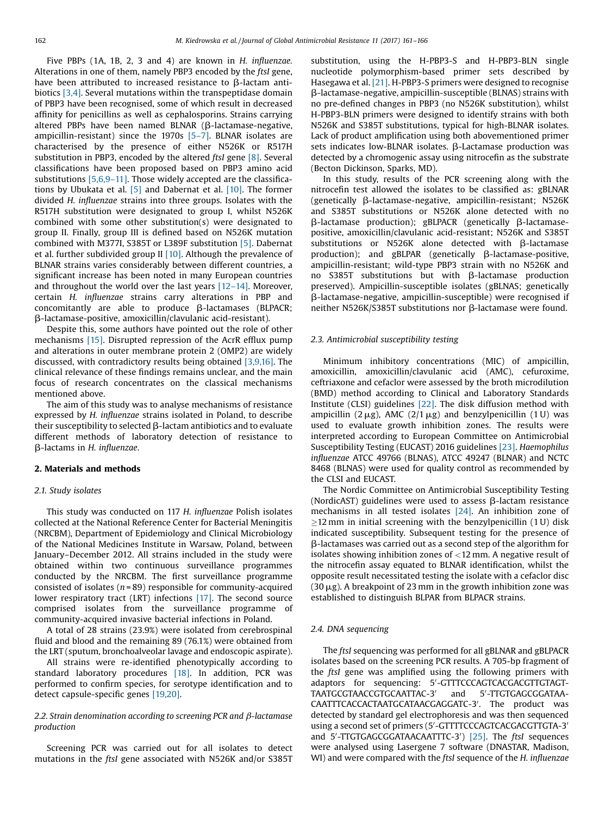Five PBPs (1A, 1B, 2, 3 and 4) are known in H. influenzae. Alterations in one of them, namely PBP3 encoded by the ftsI gene, have been attributed to increased resistance to  $\beta$ -lactam antibiotics [\[3,4\].](#page-4-0) Several mutations within the transpeptidase domain of PBP3 have been recognised, some of which result in decreased affinity for penicillins as well as cephalosporins. Strains carrying altered PBPs have been named BLNAR ( $\beta$ -lactamase-negative, ampicillin-resistant) since the 1970s [\[5](#page-4-0)–7]. BLNAR isolates are characterised by the presence of either N526K or R517H substitution in PBP3, encoded by the altered ftsI gene [\[8\]](#page-4-0). Several classifications have been proposed based on PBP3 amino acid substitutions [\[5,6,9](#page-4-0)–11]. Those widely accepted are the classifications by Ubukata et al. [\[5\]](#page-4-0) and Dabernat et al. [\[10\].](#page-4-0) The former divided H. influenzae strains into three groups. Isolates with the R517H substitution were designated to group I, whilst N526K combined with some other substitution(s) were designated to group II. Finally, group III is defined based on N526K mutation combined with M377I, S385T or L389F substitution [\[5\].](#page-4-0) Dabernat et al. further subdivided group II  $[10]$ . Although the prevalence of BLNAR strains varies considerably between different countries, a significant increase has been noted in many European countries and throughout the world over the last years [12–[14\].](#page-4-0) Moreover, certain H. influenzae strains carry alterations in PBP and concomitantly are able to produce  $\beta$ -lactamases (BLPACR; b-lactamase-positive, amoxicillin/clavulanic acid-resistant).

Despite this, some authors have pointed out the role of other mechanisms [\[15\]](#page-4-0). Disrupted repression of the AcrR efflux pump and alterations in outer membrane protein 2 (OMP2) are widely discussed, with contradictory results being obtained [\[3,9,16\]](#page-4-0). The clinical relevance of these findings remains unclear, and the main focus of research concentrates on the classical mechanisms mentioned above.

The aim of this study was to analyse mechanisms of resistance expressed by H. influenzae strains isolated in Poland, to describe their susceptibility to selected  $\beta$ -lactam antibiotics and to evaluate different methods of laboratory detection of resistance to b-lactams in H. influenzae.

#### 2. Materials and methods

# 2.1. Study isolates

This study was conducted on 117 H. influenzae Polish isolates collected at the National Reference Center for Bacterial Meningitis (NRCBM), Department of Epidemiology and Clinical Microbiology of the National Medicines Institute in Warsaw, Poland, between January–December 2012. All strains included in the study were obtained within two continuous surveillance programmes conducted by the NRCBM. The first surveillance programme consisted of isolates ( $n = 89$ ) responsible for community-acquired lower respiratory tract (LRT) infections [\[17\]](#page-4-0). The second source comprised isolates from the surveillance programme of community-acquired invasive bacterial infections in Poland.

A total of 28 strains (23.9%) were isolated from cerebrospinal fluid and blood and the remaining 89 (76.1%) were obtained from the LRT (sputum, bronchoalveolar lavage and endoscopic aspirate).

All strains were re-identified phenotypically according to standard laboratory procedures [\[18\]](#page-4-0). In addition, PCR was performed to confirm species, for serotype identification and to detect capsule-specific genes [\[19,20\].](#page-4-0)

## 2.2. Strain denomination according to screening PCR and  $\beta$ -lactamase production

Screening PCR was carried out for all isolates to detect mutations in the ftsI gene associated with N526K and/or S385T substitution, using the H-PBP3-S and H-PBP3-BLN single nucleotide polymorphism-based primer sets described by Hasegawa et al. [\[21\].](#page-5-0) H-PBP3-S primers were designed to recognise b-lactamase-negative, ampicillin-susceptible (BLNAS) strains with no pre-defined changes in PBP3 (no N526K substitution), whilst H-PBP3-BLN primers were designed to identify strains with both N526K and S385T substitutions, typical for high-BLNAR isolates. Lack of product amplification using both abovementioned primer sets indicates low-BLNAR isolates.  $\beta$ -Lactamase production was detected by a chromogenic assay using nitrocefin as the substrate (Becton Dickinson, Sparks, MD).

In this study, results of the PCR screening along with the nitrocefin test allowed the isolates to be classified as: gBLNAR (genetically  $\beta$ -lactamase-negative, ampicillin-resistant; N526K and S385T substitutions or N526K alone detected with no  $\beta$ -lactamase production); gBLPACR (genetically  $\beta$ -lactamasepositive, amoxicillin/clavulanic acid-resistant; N526K and S385T substitutions or N526K alone detected with  $\beta$ -lactamase production); and gBLPAR (genetically  $\beta$ -lactamase-positive, ampicillin-resistant; wild-type PBP3 strain with no N526K and no S385T substitutions but with  $\beta$ -lactamase production preserved). Ampicillin-susceptible isolates (gBLNAS; genetically b-lactamase-negative, ampicillin-susceptible) were recognised if neither N526K/S385T substitutions nor ß-lactamase were found.

## 2.3. Antimicrobial susceptibility testing

Minimum inhibitory concentrations (MIC) of ampicillin, amoxicillin, amoxicillin/clavulanic acid (AMC), cefuroxime, ceftriaxone and cefaclor were assessed by the broth microdilution (BMD) method according to Clinical and Laboratory Standards Institute (CLSI) guidelines [\[22\]](#page-5-0). The disk diffusion method with ampicillin (2  $\mu$ g), AMC (2/1  $\mu$ g) and benzylpenicillin (1 U) was used to evaluate growth inhibition zones. The results were interpreted according to European Committee on Antimicrobial Susceptibility Testing (EUCAST) 2016 guidelines [\[23\]](#page-5-0). Haemophilus influenzae ATCC 49766 (BLNAS), ATCC 49247 (BLNAR) and NCTC 8468 (BLNAS) were used for quality control as recommended by the CLSI and EUCAST.

The Nordic Committee on Antimicrobial Susceptibility Testing (NordicAST) guidelines were used to assess  $\beta$ -lactam resistance mechanisms in all tested isolates [\[24\].](#page-5-0) An inhibition zone of  $\geq$ 12 mm in initial screening with the benzylpenicillin (1 U) disk indicated susceptibility. Subsequent testing for the presence of b-lactamases was carried out as a second step of the algorithm for isolates showing inhibition zones of <12 mm. A negative result of the nitrocefin assay equated to BLNAR identification, whilst the opposite result necessitated testing the isolate with a cefaclor disc  $(30 \mu$ g). A breakpoint of 23 mm in the growth inhibition zone was established to distinguish BLPAR from BLPACR strains.

#### 2.4. DNA sequencing

The ftsI sequencing was performed for all gBLNAR and gBLPACR isolates based on the screening PCR results. A 705-bp fragment of the ftsI gene was amplified using the following primers with adaptors for sequencing: 5'-GTTTCCCAGTCACGACGTTGTAGT-TAATGCGTAACCGTGCAATTAC-3<sup>'</sup> and -TTGTGAGCGGATAA-CAATTTCACCACTAATGCATAACGAGGATC-3'. The product was detected by standard gel electrophoresis and was then sequenced using a second set of primers (5'-GTTTTCCCAGTCACGACGTTGTA-3' and 5'-TTGTGAGCGGATAACAATTTC-3') [\[25\]](#page-5-0). The ftsI sequences were analysed using Lasergene 7 software (DNASTAR, Madison, WI) and were compared with the ftsI sequence of the H. influenzae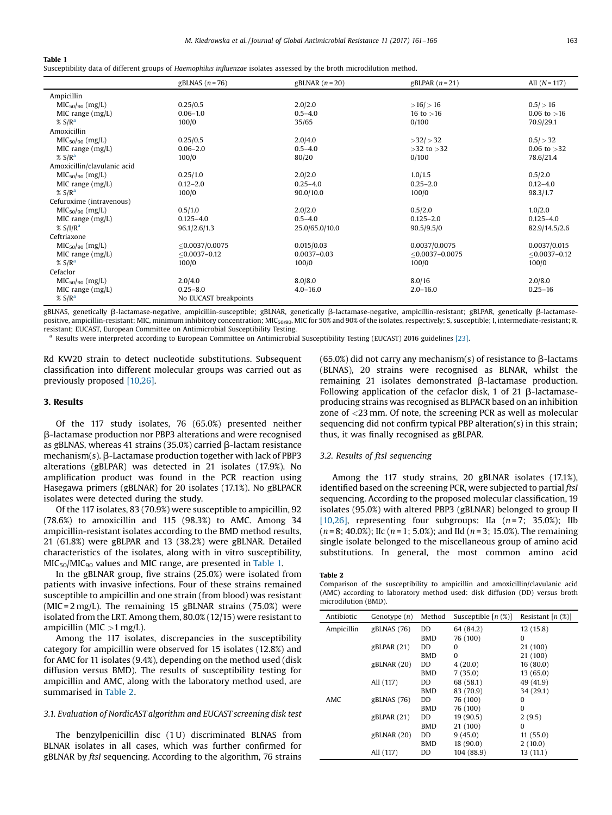#### <span id="page-2-0"></span>Table 1

Susceptibility data of different groups of Haemophilus influenzae isolates assessed by the broth microdilution method.

|                             | gBLNAS $(n = 76)$     | gBLNAR $(n=20)$ | gBLPAR $(n=21)$   | All $(N = 117)$ |
|-----------------------------|-----------------------|-----------------|-------------------|-----------------|
| Ampicillin                  |                       |                 |                   |                 |
| $MIC50/90$ (mg/L)           | 0.25/0.5              | 2.0/2.0         | $>16/$ > 16       | 0.5 / > 16      |
| MIC range $(mg/L)$          | $0.06 - 1.0$          | $0.5 - 4.0$     | 16 to $>16$       | 0.06 to $>16$   |
| % SIR <sup>a</sup>          | 100/0                 | 35/65           | 0/100             | 70.9/29.1       |
| Amoxicillin                 |                       |                 |                   |                 |
| $MIC50/90$ (mg/L)           | 0.25/0.5              | 2.0/4.0         | $>32/$ $>32$      | 0.5 / > 32      |
| MIC range $(mg/L)$          | $0.06 - 2.0$          | $0.5 - 4.0$     | $>32$ to $>32$    | $0.06$ to $>32$ |
| % $S/Ra$                    | 100/0                 | 80/20           | 0/100             | 78.6/21.4       |
| Amoxicillin/clavulanic acid |                       |                 |                   |                 |
| $MIC50/90$ (mg/L)           | 0.25/1.0              | 2.0/2.0         | 1.0/1.5           | 0.5/2.0         |
| MIC range $(mg/L)$          | $0.12 - 2.0$          | $0.25 - 4.0$    | $0.25 - 2.0$      | $0.12 - 4.0$    |
| % $S/Ra$                    | 100/0                 | 90.0/10.0       | 100/0             | 98.3/1.7        |
| Cefuroxime (intravenous)    |                       |                 |                   |                 |
| $MIC50/90$ (mg/L)           | 0.5/1.0               | 2.0/2.0         | 0.5/2.0           | 1.0/2.0         |
| MIC range $(mg/L)$          | $0.125 - 4.0$         | $0.5 - 4.0$     | $0.125 - 2.0$     | $0.125 - 4.0$   |
| % SI/R <sup>a</sup>         | 96.1/2.6/1.3          | 25.0/65.0/10.0  | 90.5/9.5/0        | 82.9/14.5/2.6   |
| Ceftriaxone                 |                       |                 |                   |                 |
| $MIC50/90$ (mg/L)           | $<$ 0.0037/0.0075     | 0.015/0.03      | 0.0037/0.0075     | 0.0037/0.015    |
| MIC range $(mg/L)$          | $<$ 0.0037-0.12       | $0.0037 - 0.03$ | $<$ 0.0037-0.0075 | $<$ 0.0037-0.12 |
| % $S/Ra$                    | 100/0                 | 100/0           | 100/0             | 100/0           |
| Cefaclor                    |                       |                 |                   |                 |
| $MIC50/90$ (mg/L)           | 2.0/4.0               | 8.0/8.0         | 8.0/16            | 2.0/8.0         |
| MIC range $(mg/L)$          | $0.25 - 8.0$          | $4.0 - 16.0$    | $2.0 - 16.0$      | $0.25 - 16$     |
| % SIR <sup>a</sup>          | No EUCAST breakpoints |                 |                   |                 |

gBLNAS, genetically b-lactamase-negative, ampicillin-susceptible; gBLNAR, genetically b-lactamase-negative, ampicillin-resistant; gBLPAR, genetically b-lactamasepositive, ampicillin-resistant; MIC, minimum inhibitory concentration; MIC<sub>50/90</sub>, MIC for 50% and 90% of the isolates, respectively; S, susceptible; I, intermediate-resistant; R, resistant; EUCAST, European Committee on Antimicrobial Susceptibility Testing.

<sup>a</sup> Results were interpreted according to European Committee on Antimicrobial Susceptibility Testing (EUCAST) 2016 guidelines [\[23\]](#page-5-0).

Rd KW20 strain to detect nucleotide substitutions. Subsequent classification into different molecular groups was carried out as previously proposed [\[10,26\]](#page-4-0).

#### 3. Results

Of the 117 study isolates, 76 (65.0%) presented neither b-lactamase production nor PBP3 alterations and were recognised as gBLNAS, whereas 41 strains (35.0%) carried  $\beta$ -lactam resistance  $mechanism(s)$ .  $\beta$ -Lactamase production together with lack of PBP3 alterations (gBLPAR) was detected in 21 isolates (17.9%). No amplification product was found in the PCR reaction using Hasegawa primers (gBLNAR) for 20 isolates (17.1%). No gBLPACR isolates were detected during the study.

Of the 117 isolates, 83 (70.9%) were susceptible to ampicillin, 92 (78.6%) to amoxicillin and 115 (98.3%) to AMC. Among 34 ampicillin-resistant isolates according to the BMD method results, 21 (61.8%) were gBLPAR and 13 (38.2%) were gBLNAR. Detailed characteristics of the isolates, along with in vitro susceptibility,  $MIC<sub>50</sub>/MIC<sub>90</sub>$  values and MIC range, are presented in Table 1.

In the gBLNAR group, five strains (25.0%) were isolated from patients with invasive infections. Four of these strains remained susceptible to ampicillin and one strain (from blood) was resistant (MIC =  $2 \text{ mg/L}$ ). The remaining 15 gBLNAR strains (75.0%) were isolated from the LRT. Among them, 80.0% (12/15) were resistant to ampicillin (MIC  $>1$  mg/L).

Among the 117 isolates, discrepancies in the susceptibility category for ampicillin were observed for 15 isolates (12.8%) and for AMC for 11 isolates (9.4%), depending on the method used (disk diffusion versus BMD). The results of susceptibility testing for ampicillin and AMC, along with the laboratory method used, are summarised in Table 2.

#### 3.1. Evaluation of NordicAST algorithm and EUCAST screening disk test

The benzylpenicillin disc (1 U) discriminated BLNAS from BLNAR isolates in all cases, which was further confirmed for gBLNAR by ftsI sequencing. According to the algorithm, 76 strains (65.0%) did not carry any mechanism(s) of resistance to  $\beta$ -lactams (BLNAS), 20 strains were recognised as BLNAR, whilst the remaining 21 isolates demonstrated  $\beta$ -lactamase production. Following application of the cefaclor disk, 1 of 21  $\beta$ -lactamaseproducing strains was recognised as BLPACR based on an inhibition zone of <23 mm. Of note, the screening PCR as well as molecular sequencing did not confirm typical PBP alteration(s) in this strain; thus, it was finally recognised as gBLPAR.

### 3.2. Results of ftsI sequencing

Among the 117 study strains, 20 gBLNAR isolates (17.1%), identified based on the screening PCR, were subjected to partial ftsI sequencing. According to the proposed molecular classification, 19 isolates (95.0%) with altered PBP3 (gBLNAR) belonged to group II [\[10,26\]](#page-4-0), representing four subgroups: IIa  $(n=7; 35.0\%)$ ; IIb  $(n = 8; 40.0\%)$ ; IIc  $(n = 1; 5.0\%)$ ; and IId  $(n = 3; 15.0\%)$ . The remaining single isolate belonged to the miscellaneous group of amino acid substitutions. In general, the most common amino acid

Table 2

Comparison of the susceptibility to ampicillin and amoxicillin/clavulanic acid (AMC) according to laboratory method used: disk diffusion (DD) versus broth microdilution (BMD).

| Antibiotic | Genotype $(n)$ | Method     | Susceptible $[n \ (\%)]$ | Resistant $[n(\mathcal{X})]$ |
|------------|----------------|------------|--------------------------|------------------------------|
| Ampicillin | gBLNAS (76)    | DD         | 64 (84.2)                | 12 (15.8)                    |
|            |                | <b>BMD</b> | 76 (100)                 | 0                            |
|            | gBLPAR(21)     | DD         | 0                        | 21 (100)                     |
|            |                | <b>BMD</b> | 0                        | 21 (100)                     |
|            | gBLNAR(20)     | DD         | 4(20.0)                  | 16(80.0)                     |
|            |                | <b>BMD</b> | 7(35.0)                  | 13(65.0)                     |
|            | All (117)      | DD         | 68 (58.1)                | 49 (41.9)                    |
|            |                | <b>BMD</b> | 83 (70.9)                | 34 (29.1)                    |
| AMC        | gBLNAS (76)    | DD         | 76 (100)                 | 0                            |
|            |                | <b>BMD</b> | 76 (100)                 | $\Omega$                     |
|            | gBLPAR(21)     | DD         | 19 (90.5)                | 2(9.5)                       |
|            |                | <b>BMD</b> | 21 (100)                 | 0                            |
|            | gBLNAR(20)     | DD         | 9(45.0)                  | 11(55.0)                     |
|            |                | <b>BMD</b> | 18(90.0)                 | 2(10.0)                      |
|            | All (117)      | DD         | 104 (88.9)               | 13(11.1)                     |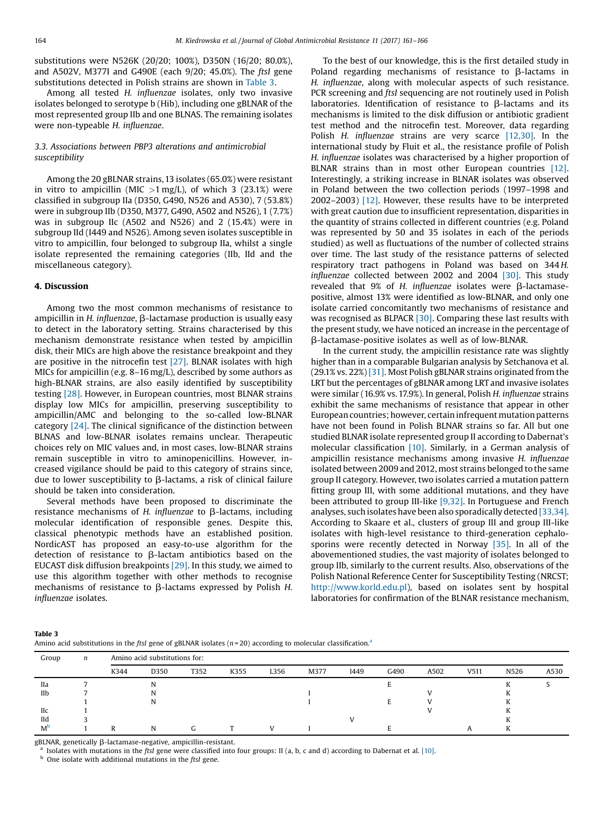substitutions were N526K (20/20; 100%), D350N (16/20; 80.0%), and A502V, M377I and G490E (each 9/20; 45.0%). The ftsI gene substitutions detected in Polish strains are shown in Table 3.

Among all tested H. influenzae isolates, only two invasive isolates belonged to serotype b (Hib), including one gBLNAR of the most represented group IIb and one BLNAS. The remaining isolates were non-typeable H. influenzae.

## 3.3. Associations between PBP3 alterations and antimicrobial susceptibility

Among the 20 gBLNAR strains, 13 isolates (65.0%) were resistant in vitro to ampicillin (MIC  $>1$  mg/L), of which 3 (23.1%) were classified in subgroup IIa (D350, G490, N526 and A530), 7 (53.8%) were in subgroup IIb (D350, M377, G490, A502 and N526), 1 (7.7%) was in subgroup IIc (A502 and N526) and 2 (15.4%) were in subgroup IId (I449 and N526). Among seven isolates susceptible in vitro to ampicillin, four belonged to subgroup IIa, whilst a single isolate represented the remaining categories (IIb, IId and the miscellaneous category).

### 4. Discussion

Among two the most common mechanisms of resistance to ampicillin in  $H$ . influenzae,  $\beta$ -lactamase production is usually easy to detect in the laboratory setting. Strains characterised by this mechanism demonstrate resistance when tested by ampicillin disk, their MICs are high above the resistance breakpoint and they are positive in the nitrocefin test [\[27\]](#page-5-0). BLNAR isolates with high MICs for ampicillin (e.g. 8–16 mg/L), described by some authors as high-BLNAR strains, are also easily identified by susceptibility testing [\[28\]](#page-5-0). However, in European countries, most BLNAR strains display low MICs for ampicillin, preserving susceptibility to ampicillin/AMC and belonging to the so-called low-BLNAR category [\[24\]](#page-5-0). The clinical significance of the distinction between BLNAS and low-BLNAR isolates remains unclear. Therapeutic choices rely on MIC values and, in most cases, low-BLNAR strains remain susceptible in vitro to aminopenicillins. However, increased vigilance should be paid to this category of strains since, due to lower susceptibility to  $\beta$ -lactams, a risk of clinical failure should be taken into consideration.

Several methods have been proposed to discriminate the resistance mechanisms of H. influenzae to  $\beta$ -lactams, including molecular identification of responsible genes. Despite this, classical phenotypic methods have an established position. NordicAST has proposed an easy-to-use algorithm for the detection of resistance to  $\beta$ -lactam antibiotics based on the EUCAST disk diffusion breakpoints [\[29\]](#page-5-0). In this study, we aimed to use this algorithm together with other methods to recognise mechanisms of resistance to  $\beta$ -lactams expressed by Polish H. influenzae isolates.

To the best of our knowledge, this is the first detailed study in Poland regarding mechanisms of resistance to  $\beta$ -lactams in H. influenzae, along with molecular aspects of such resistance. PCR screening and *ftsI* sequencing are not routinely used in Polish laboratories. Identification of resistance to  $\beta$ -lactams and its mechanisms is limited to the disk diffusion or antibiotic gradient test method and the nitrocefin test. Moreover, data regarding Polish H. influenzae strains are very scarce [\[12,30\]](#page-4-0). In the international study by Fluit et al., the resistance profile of Polish H. influenzae isolates was characterised by a higher proportion of BLNAR strains than in most other European countries [\[12\].](#page-4-0) Interestingly, a striking increase in BLNAR isolates was observed in Poland between the two collection periods (1997–1998 and 2002–2003) [\[12\]](#page-4-0). However, these results have to be interpreted with great caution due to insufficient representation, disparities in the quantity of strains collected in different countries (e.g. Poland was represented by 50 and 35 isolates in each of the periods studied) as well as fluctuations of the number of collected strains over time. The last study of the resistance patterns of selected respiratory tract pathogens in Poland was based on 344 H. influenzae collected between 2002 and 2004 [\[30\]](#page-5-0). This study revealed that  $9\%$  of H. influenzae isolates were  $\beta$ -lactamasepositive, almost 13% were identified as low-BLNAR, and only one isolate carried concomitantly two mechanisms of resistance and was recognised as BLPACR [\[30\].](#page-5-0) Comparing these last results with the present study, we have noticed an increase in the percentage of b-lactamase-positive isolates as well as of low-BLNAR.

In the current study, the ampicillin resistance rate was slightly higher than in a comparable Bulgarian analysis by Setchanova et al. (29.1% vs. 22%) [\[31\]](#page-5-0). Most Polish gBLNAR strains originated from the LRT but the percentages of gBLNAR among LRT and invasive isolates were similar (16.9% vs.17.9%). In general, Polish H. influenzae strains exhibit the same mechanisms of resistance that appear in other European countries; however, certain infrequent mutation patterns have not been found in Polish BLNAR strains so far. All but one studied BLNAR isolate represented group II according to Dabernat's molecular classification [\[10\]](#page-4-0). Similarly, in a German analysis of ampicillin resistance mechanisms among invasive H. influenzae isolated between 2009 and 2012, most strains belonged to the same group II category. However, two isolates carried a mutation pattern fitting group III, with some additional mutations, and they have been attributed to group III-like [\[9,32\].](#page-4-0) In Portuguese and French analyses, such isolates have been also sporadically detected [\[33,34\].](#page-5-0) According to Skaare et al., clusters of group III and group III-like isolates with high-level resistance to third-generation cephalosporins were recently detected in Norway [\[35\]](#page-5-0). In all of the abovementioned studies, the vast majority of isolates belonged to group IIb, similarly to the current results. Also, observations of the Polish National Reference Center for Susceptibility Testing (NRCST; <http://www.korld.edu.pl>), based on isolates sent by hospital laboratories for confirmation of the BLNAR resistance mechanism,

| Table 3                                                                                                                   |  |
|---------------------------------------------------------------------------------------------------------------------------|--|
| Amino acid substitutions in the ftsl gene of gBLNAR isolates $(n=20)$ according to molecular classification. <sup>a</sup> |  |

| Group      | $\boldsymbol{n}$ | Amino acid substitutions for: |      |      |      |      |      |      |      |      |      |      |      |
|------------|------------------|-------------------------------|------|------|------|------|------|------|------|------|------|------|------|
|            |                  | K344                          | D350 | T352 | K355 | L356 | M377 | I449 | G490 | A502 | V511 | N526 | A530 |
| <b>IIa</b> |                  |                               | N    |      |      |      |      |      |      |      |      | n.   |      |
| IIb        |                  |                               | N    |      |      |      |      |      |      |      |      | N    |      |
|            |                  |                               | N    |      |      |      |      |      |      |      |      | r.   |      |
| <b>IIc</b> |                  |                               |      |      |      |      |      |      |      |      |      | r.   |      |
| IId        |                  |                               |      |      |      |      |      |      |      |      |      | r.   |      |
| $M^b$      |                  | R                             | N    | G.   |      |      |      |      |      |      |      | K    |      |

gBLNAR, genetically  $\beta$ -lactamase-negative, ampicillin-resistant.

I Isolates with mutations in the ftsI gene were classified into four groups: II (a, b, c and d) according to Dabernat et al. [\[10\].](#page-4-0)

 $<sup>b</sup>$  One isolate with additional mutations in the ftsI gene.</sup>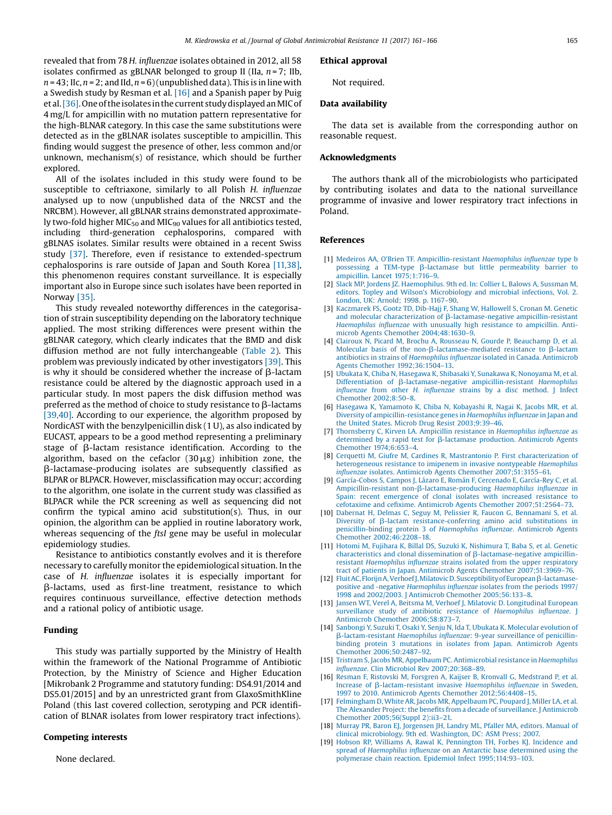<span id="page-4-0"></span>revealed that from 78 H. influenzae isolates obtained in 2012, all 58 isolates confirmed as gBLNAR belonged to group II (IIa,  $n = 7$ ; IIb,  $n = 43$ ; Ilc,  $n = 2$ ; and Ild,  $n = 6$ ) (unpublished data). This is in line with a Swedish study by Resman et al. [16] and a Spanish paper by Puig et al. [\[36\]](#page-5-0). One of the isolates in the current study displayed an MIC of 4 mg/L for ampicillin with no mutation pattern representative for the high-BLNAR category. In this case the same substitutions were detected as in the gBLNAR isolates susceptible to ampicillin. This finding would suggest the presence of other, less common and/or unknown, mechanism(s) of resistance, which should be further explored.

All of the isolates included in this study were found to be susceptible to ceftriaxone, similarly to all Polish H. influenzae analysed up to now (unpublished data of the NRCST and the NRCBM). However, all gBLNAR strains demonstrated approximately two-fold higher MIC<sub>50</sub> and MIC<sub>90</sub> values for all antibiotics tested, including third-generation cephalosporins, compared with gBLNAS isolates. Similar results were obtained in a recent Swiss study [\[37\]](#page-5-0). Therefore, even if resistance to extended-spectrum cephalosporins is rare outside of Japan and South Korea [11,38], this phenomenon requires constant surveillance. It is especially important also in Europe since such isolates have been reported in Norway [\[35\].](#page-5-0)

This study revealed noteworthy differences in the categorisation of strain susceptibility depending on the laboratory technique applied. The most striking differences were present within the gBLNAR category, which clearly indicates that the BMD and disk diffusion method are not fully interchangeable ([Table](#page-2-0) 2). This problem was previously indicated by other investigators [\[39\]](#page-5-0). This is why it should be considered whether the increase of B-lactam resistance could be altered by the diagnostic approach used in a particular study. In most papers the disk diffusion method was preferred as the method of choice to study resistance to  $\beta$ -lactams [\[39,40\].](#page-5-0) According to our experience, the algorithm proposed by NordicAST with the benzylpenicillin disk (1 U), as also indicated by EUCAST, appears to be a good method representing a preliminary stage of  $\beta$ -lactam resistance identification. According to the algorithm, based on the cefaclor  $(30 \mu g)$  inhibition zone, the b-lactamase-producing isolates are subsequently classified as BLPAR or BLPACR. However, misclassification may occur; according to the algorithm, one isolate in the current study was classified as BLPACR while the PCR screening as well as sequencing did not confirm the typical amino acid substitution(s). Thus, in our opinion, the algorithm can be applied in routine laboratory work, whereas sequencing of the *ftsI* gene may be useful in molecular epidemiology studies.

Resistance to antibiotics constantly evolves and it is therefore necessary to carefully monitor the epidemiological situation. In the case of H. influenzae isolates it is especially important for  $\beta$ -lactams, used as first-line treatment, resistance to which requires continuous surveillance, effective detection methods and a rational policy of antibiotic usage.

## Funding

This study was partially supported by the Ministry of Health within the framework of the National Programme of Antibiotic Protection, by the Ministry of Science and Higher Education [Mikrobank 2 Programme and statutory funding: DS4.91/2014 and DS5.01/2015] and by an unrestricted grant from GlaxoSmithKline Poland (this last covered collection, serotyping and PCR identification of BLNAR isolates from lower respiratory tract infections).

## Competing interests

None declared.

#### Ethical approval

Not required.

### Data availability

The data set is available from the corresponding author on reasonable request.

## Acknowledgments

The authors thank all of the microbiologists who participated by contributing isolates and data to the national surveillance programme of invasive and lower respiratory tract infections in Poland.

## References

- [1] Medeiros AA, O'Brien TF. [Ampicillin-resistant](http://refhub.elsevier.com/S2213-7165(17)30151-0/sbref0005) Haemophilus influenzae type b possessing a TEM-type  $\beta$ -lactamase but little [permeability](http://refhub.elsevier.com/S2213-7165(17)30151-0/sbref0005) barrier to  $ap{2mnicillin}$  Lancet  $1975:1:716-9$ .
- [2] Slack MP, Jordens JZ. [Haemophilus.](http://refhub.elsevier.com/S2213-7165(17)30151-0/sbref0010) 9th ed. In: Collier L, Balows A, Sussman M, editors. Topley and Wilson's [Microbiology](http://refhub.elsevier.com/S2213-7165(17)30151-0/sbref0010) and microbial infections, Vol. 2. [London,](http://refhub.elsevier.com/S2213-7165(17)30151-0/sbref0010) UK: Arnold; 1998. p. 1167–90.
- [3] [Kaczmarek](http://refhub.elsevier.com/S2213-7165(17)30151-0/sbref0015) FS, Gootz TD, Dib-Hajj F, Shang W, Hallowell S, Cronan M. Genetic and molecular characterization of  $\beta$ [-lactamase-negative](http://refhub.elsevier.com/S2213-7165(17)30151-0/sbref0015) ampicillin-resistant [Haemophilus](http://refhub.elsevier.com/S2213-7165(17)30151-0/sbref0015) influenzae with unusually high resistance to ampicillin. Antimicrob Agents Chemother [2004;48:1630](http://refhub.elsevier.com/S2213-7165(17)30151-0/sbref0015)–9.
- [4] Clairoux N, Picard M, Brochu A, Rousseau N, Gourde P, [Beauchamp](http://refhub.elsevier.com/S2213-7165(17)30151-0/sbref0020) D, et al. Molecular basis of the non- $\beta$ [-lactamase-mediated](http://refhub.elsevier.com/S2213-7165(17)30151-0/sbref0020) resistance to  $\beta$ -lactam antibiotics in strains of [Haemophilus](http://refhub.elsevier.com/S2213-7165(17)30151-0/sbref0020) influenzae isolated in Canada. Antimicrob Agents Chemother [1992;36:1504](http://refhub.elsevier.com/S2213-7165(17)30151-0/sbref0020)–13.
- [5] Ubukata K, Chiba N, Hasegawa K, Shibasaki Y, Sunakawa K, [Nonoyama](http://refhub.elsevier.com/S2213-7165(17)30151-0/sbref0025) M, et al. Differentiation of  $\beta$ [-lactamase-negative](http://refhub.elsevier.com/S2213-7165(17)30151-0/sbref0025) ampicillin-resistant Haemophilus influenzae from other H. influenzae strains by a disc [method.](http://refhub.elsevier.com/S2213-7165(17)30151-0/sbref0025) J Infect [Chemother](http://refhub.elsevier.com/S2213-7165(17)30151-0/sbref0025) 2002;8:50–8.
- [6] Hasegawa K, [Yamamoto](http://refhub.elsevier.com/S2213-7165(17)30151-0/sbref0030) K, Chiba N, Kobayashi R, Nagai K, Jacobs MR, et al. Diversity of [ampicillin-resistance](http://refhub.elsevier.com/S2213-7165(17)30151-0/sbref0030) genes in Haemophilus influenzae in Japan and the United States. Microb Drug Resist [2003;9:39](http://refhub.elsevier.com/S2213-7165(17)30151-0/sbref0030)–46.
- [7] Thornsberry C, Kirven LA. Ampicillin resistance in [Haemophilus](http://refhub.elsevier.com/S2213-7165(17)30151-0/sbref0035) influenzae as [determined](http://refhub.elsevier.com/S2213-7165(17)30151-0/sbref0035) by a rapid test for β-lactamase production. Antimicrob Agents Chemother [1974;6:653](http://refhub.elsevier.com/S2213-7165(17)30151-0/sbref0035)–4.
- [8] Cerquetti M, Giufre M, Cardines R, Mastrantonio P. First [characterization](http://refhub.elsevier.com/S2213-7165(17)30151-0/sbref0040) of [heterogeneous](http://refhub.elsevier.com/S2213-7165(17)30151-0/sbref0040) resistance to imipenem in invasive nontypeable Haemophilus influenzae isolates. Antimicrob Agents Chemother [2007;51:3155](http://refhub.elsevier.com/S2213-7165(17)30151-0/sbref0040)–61.
- [9] [García-Cobos](http://refhub.elsevier.com/S2213-7165(17)30151-0/sbref0045) S, Campos J, Lázaro E, Román F, Cercenado E, García-Rey C, et al. Ampicillin-resistant non-β[-lactamase-producing](http://refhub.elsevier.com/S2213-7165(17)30151-0/sbref0045) Haemophilus influenzae in Spain: recent [emergence](http://refhub.elsevier.com/S2213-7165(17)30151-0/sbref0045) of clonal isolates with increased resistance to cefotaxime and cefixime. Antimicrob Agents Chemother [2007;51:2564](http://refhub.elsevier.com/S2213-7165(17)30151-0/sbref0045)–73.
- [10] Dabernat H, Delmas C, Seguy M, Pelissier R, Faucon G, [Bennamani](http://refhub.elsevier.com/S2213-7165(17)30151-0/sbref0050) S, et al. Diversity of  $\beta$ -lactam [resistance-conferring](http://refhub.elsevier.com/S2213-7165(17)30151-0/sbref0050) amino acid substitutions in [penicillin-binding](http://refhub.elsevier.com/S2213-7165(17)30151-0/sbref0050) protein 3 of Haemophilus influenzae. Antimicrob Agents Chemother [2002;46:2208](http://refhub.elsevier.com/S2213-7165(17)30151-0/sbref0050)–18.
- [11] Hotomi M, Fujihara K, Billal DS, Suzuki K, [Nishimura](http://refhub.elsevier.com/S2213-7165(17)30151-0/sbref0055) T, Baba S, et al. Genetic characteristics and clonal dissemination of  $\beta$ [-lactamase-negative](http://refhub.elsevier.com/S2213-7165(17)30151-0/sbref0055) ampicillinresistant [Haemophilus](http://refhub.elsevier.com/S2213-7165(17)30151-0/sbref0055) influenzae strains isolated from the upper respiratory tract of patients in Japan. Antimicrob Agents Chemother [2007;51:3969](http://refhub.elsevier.com/S2213-7165(17)30151-0/sbref0055)–76.
- [12] Fluit AC, Florijn A, Verhoef J, Milatovic D. Susceptibility of European  $\beta$ -lactamasepositive and -negative [Haemophilus](http://refhub.elsevier.com/S2213-7165(17)30151-0/sbref0060) influenzae isolates from the periods 1997/ 1998 and 2002/2003. J Antimicrob Chemother [2005;56:133](http://refhub.elsevier.com/S2213-7165(17)30151-0/sbref0060)–8.
- [13] Jansen WT, Verel A, Beitsma M, Verhoef J, Milatovic D. [Longitudinal](http://refhub.elsevier.com/S2213-7165(17)30151-0/sbref0065) European surveillance study of antibiotic resistance of [Haemophilus](http://refhub.elsevier.com/S2213-7165(17)30151-0/sbref0065) influenzae. J Antimicrob Chemother [2006;58:873](http://refhub.elsevier.com/S2213-7165(17)30151-0/sbref0065)–7.
- [14] Sanbongi Y, Suzuki T, Osaki Y, Senju N, Ida T, Ubukata K. [Molecular](http://refhub.elsevier.com/S2213-7165(17)30151-0/sbref0070) evolution of b[-lactam-resistant](http://refhub.elsevier.com/S2213-7165(17)30151-0/sbref0070) Haemophilus influenzae: 9-year surveillance of penicillinbinding protein 3 mutations in isolates from Japan. [Antimicrob](http://refhub.elsevier.com/S2213-7165(17)30151-0/sbref0070) Agents Chemother [2006;50:2487](http://refhub.elsevier.com/S2213-7165(17)30151-0/sbref0070)–92.
- [15] Tristram S, Jacobs MR, Appelbaum PC. [Antimicrobial](http://refhub.elsevier.com/S2213-7165(17)30151-0/sbref0075) resistance in Haemophilus influenzae. Clin Microbiol Rev [2007;20:368](http://refhub.elsevier.com/S2213-7165(17)30151-0/sbref0075)–89.
- [16] Resman F, Ristovski M, Forsgren A, Kaijser B, Kronvall G, [Medstrand](http://refhub.elsevier.com/S2213-7165(17)30151-0/sbref0080) P, et al. Increase of  $\beta$ [-lactam-resistant](http://refhub.elsevier.com/S2213-7165(17)30151-0/sbref0080) invasive Haemophilus influenzae in Sweden, 1997 to 2010. Antimicrob Agents Chemother [2012;56:4408](http://refhub.elsevier.com/S2213-7165(17)30151-0/sbref0080)–15.
- [17] [Felmingham](http://refhub.elsevier.com/S2213-7165(17)30151-0/sbref0085) D, White AR, Jacobs MR, Appelbaum PC, Poupard J, Miller LA, et al. The Alexander Project: the benefits from a decade of [surveillance.](http://refhub.elsevier.com/S2213-7165(17)30151-0/sbref0085) J Antimicrob Chemother [2005;56\(Suppl](http://refhub.elsevier.com/S2213-7165(17)30151-0/sbref0085) 2):ii3–21.
- [18] Murray PR, Baron EJ, [Jorgensen](http://refhub.elsevier.com/S2213-7165(17)30151-0/sbref0090) JH, Landry ML, Pfaller MA, editors. Manual of clinical [microbiology.](http://refhub.elsevier.com/S2213-7165(17)30151-0/sbref0090) 9th ed. Washington, DC: ASM Press; 2007.
- [19] Hobson RP, Williams A, Rawal K, [Pennington](http://refhub.elsevier.com/S2213-7165(17)30151-0/sbref0095) TH, Forbes KJ. Incidence and spread of [Haemophilus](http://refhub.elsevier.com/S2213-7165(17)30151-0/sbref0095) influenzae on an Antarctic base determined using the polymerase chain reaction. Epidemiol Infect [1995;114:93](http://refhub.elsevier.com/S2213-7165(17)30151-0/sbref0095)–103.